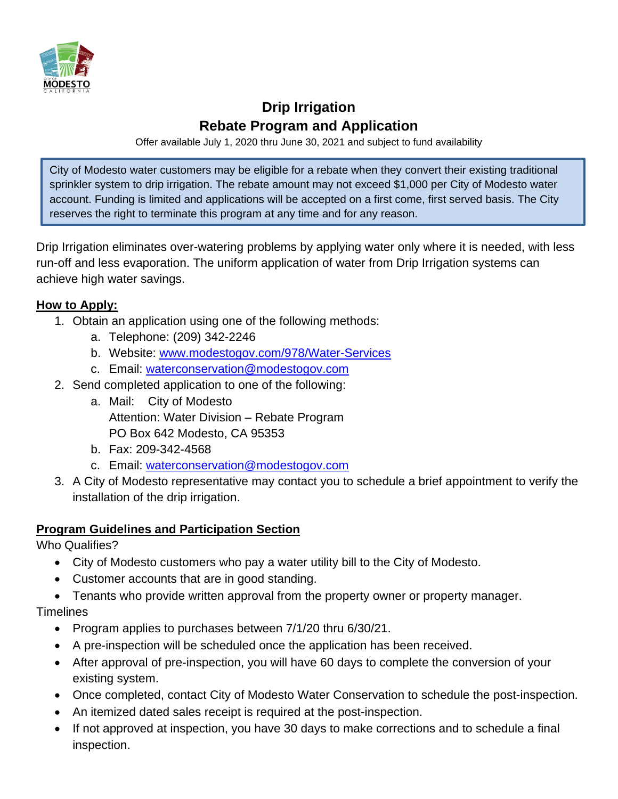

## **Drip Irrigation Rebate Program and Application**

Offer available July 1, 2020 thru June 30, 2021 and subject to fund availability

City of Modesto water customers may be eligible for a rebate when they convert their existing traditional sprinkler system to drip irrigation. The rebate amount may not exceed \$1,000 per City of Modesto water account. Funding is limited and applications will be accepted on a first come, first served basis. The City reserves the right to terminate this program at any time and for any reason.

Drip Irrigation eliminates over-watering problems by applying water only where it is needed, with less run-off and less evaporation. The uniform application of water from Drip Irrigation systems can achieve high water savings.

#### **How to Apply:**

- 1. Obtain an application using one of the following methods:
	- a. Telephone: (209) 342-2246
	- b. Website: [www.modestogov.com/978/Water-Services](http://www.modestogov.com/978/Water-Services)
	- c. Email: [waterconservation@modestogov.com](mailto:waterconservation@modestogov.com)
- 2. Send completed application to one of the following:
	- a. Mail: City of Modesto Attention: Water Division – Rebate Program PO Box 642 Modesto, CA 95353
	- b. Fax: 209-342-4568
	- c. Email: [waterconservation@modestogov.com](mailto:waterconservation@modestogov.com)
- 3. A City of Modesto representative may contact you to schedule a brief appointment to verify the installation of the drip irrigation.

#### **Program Guidelines and Participation Section**

Who Qualifies?

- City of Modesto customers who pay a water utility bill to the City of Modesto.
- Customer accounts that are in good standing.
- Tenants who provide written approval from the property owner or property manager.

#### **Timelines**

- Program applies to purchases between 7/1/20 thru 6/30/21.
- A pre-inspection will be scheduled once the application has been received.
- After approval of pre-inspection, you will have 60 days to complete the conversion of your existing system.
- Once completed, contact City of Modesto Water Conservation to schedule the post-inspection.
- An itemized dated sales receipt is required at the post-inspection.
- If not approved at inspection, you have 30 days to make corrections and to schedule a final inspection.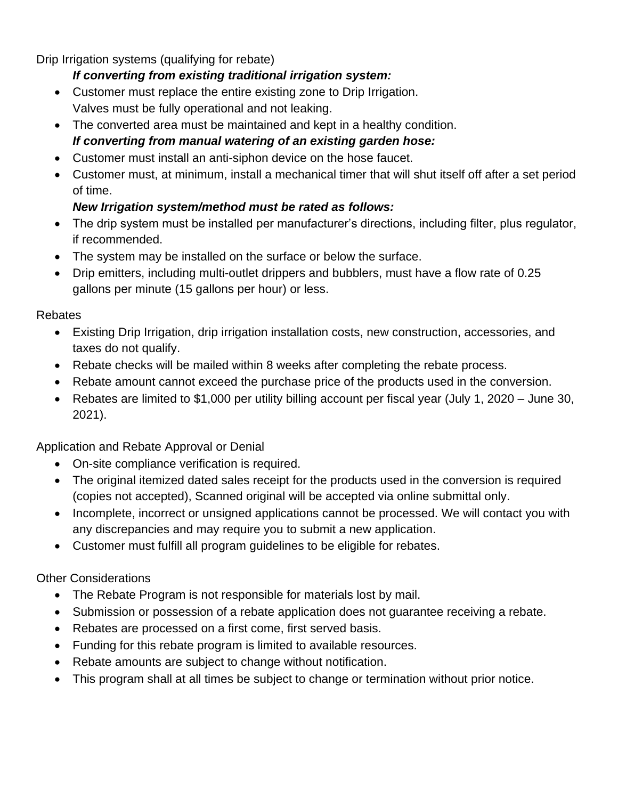Drip Irrigation systems (qualifying for rebate)

#### *If converting from existing traditional irrigation system:*

- Customer must replace the entire existing zone to Drip Irrigation. Valves must be fully operational and not leaking.
- The converted area must be maintained and kept in a healthy condition. *If converting from manual watering of an existing garden hose:*
- Customer must install an anti-siphon device on the hose faucet.
- Customer must, at minimum, install a mechanical timer that will shut itself off after a set period of time.

### *New Irrigation system/method must be rated as follows:*

- The drip system must be installed per manufacturer's directions, including filter, plus regulator, if recommended.
- The system may be installed on the surface or below the surface.
- Drip emitters, including multi-outlet drippers and bubblers, must have a flow rate of 0.25 gallons per minute (15 gallons per hour) or less.

#### Rebates

- Existing Drip Irrigation, drip irrigation installation costs, new construction, accessories, and taxes do not qualify.
- Rebate checks will be mailed within 8 weeks after completing the rebate process.
- Rebate amount cannot exceed the purchase price of the products used in the conversion.
- Rebates are limited to \$1,000 per utility billing account per fiscal year (July 1, 2020 June 30, 2021).

Application and Rebate Approval or Denial

- On-site compliance verification is required.
- The original itemized dated sales receipt for the products used in the conversion is required (copies not accepted), Scanned original will be accepted via online submittal only.
- Incomplete, incorrect or unsigned applications cannot be processed. We will contact you with any discrepancies and may require you to submit a new application.
- Customer must fulfill all program guidelines to be eligible for rebates.

#### Other Considerations

- The Rebate Program is not responsible for materials lost by mail.
- Submission or possession of a rebate application does not quarantee receiving a rebate.
- Rebates are processed on a first come, first served basis.
- Funding for this rebate program is limited to available resources.
- Rebate amounts are subject to change without notification.
- This program shall at all times be subject to change or termination without prior notice.